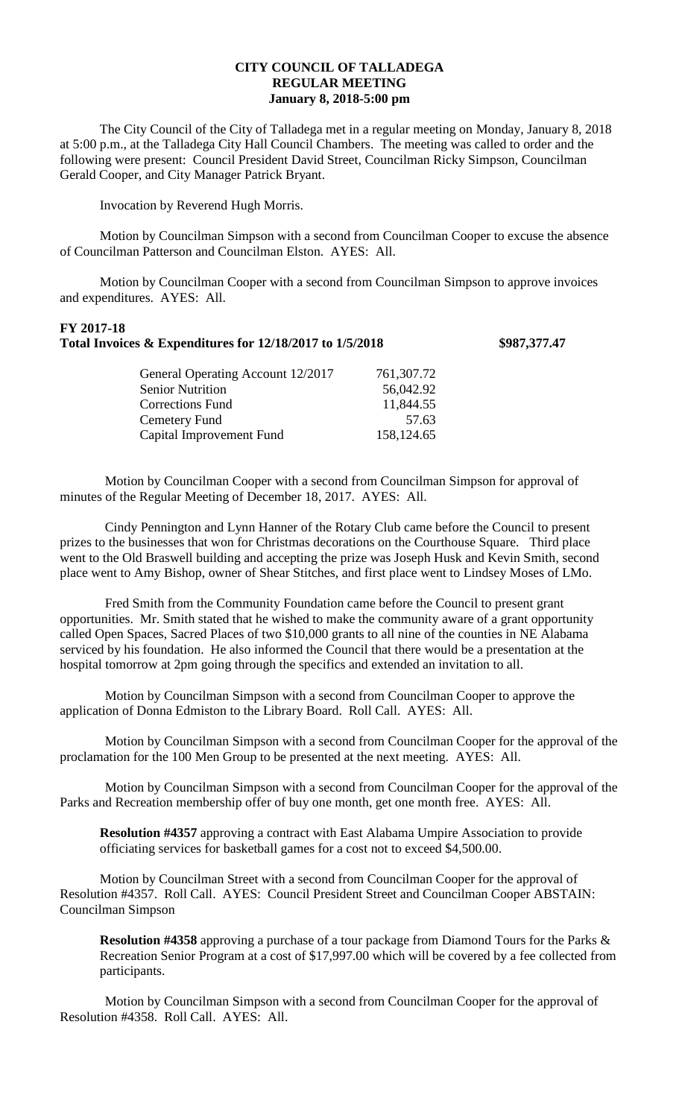## **CITY COUNCIL OF TALLADEGA REGULAR MEETING January 8, 2018-5:00 pm**

The City Council of the City of Talladega met in a regular meeting on Monday, January 8, 2018 at 5:00 p.m., at the Talladega City Hall Council Chambers. The meeting was called to order and the following were present: Council President David Street, Councilman Ricky Simpson, Councilman Gerald Cooper, and City Manager Patrick Bryant.

Invocation by Reverend Hugh Morris.

Motion by Councilman Simpson with a second from Councilman Cooper to excuse the absence of Councilman Patterson and Councilman Elston. AYES: All.

Motion by Councilman Cooper with a second from Councilman Simpson to approve invoices and expenditures. AYES: All.

## **FY 2017-18 Total Invoices & Expenditures for 12/18/2017 to 1/5/2018 \$987,377.47**

| General Operating Account 12/2017 | 761,307.72 |
|-----------------------------------|------------|
| <b>Senior Nutrition</b>           | 56,042.92  |
| <b>Corrections Fund</b>           | 11,844.55  |
| Cemetery Fund                     | 57.63      |
| Capital Improvement Fund          | 158,124.65 |
|                                   |            |

Motion by Councilman Cooper with a second from Councilman Simpson for approval of minutes of the Regular Meeting of December 18, 2017. AYES: All.

Cindy Pennington and Lynn Hanner of the Rotary Club came before the Council to present prizes to the businesses that won for Christmas decorations on the Courthouse Square. Third place went to the Old Braswell building and accepting the prize was Joseph Husk and Kevin Smith, second place went to Amy Bishop, owner of Shear Stitches, and first place went to Lindsey Moses of LMo.

Fred Smith from the Community Foundation came before the Council to present grant opportunities. Mr. Smith stated that he wished to make the community aware of a grant opportunity called Open Spaces, Sacred Places of two \$10,000 grants to all nine of the counties in NE Alabama serviced by his foundation. He also informed the Council that there would be a presentation at the hospital tomorrow at 2pm going through the specifics and extended an invitation to all.

Motion by Councilman Simpson with a second from Councilman Cooper to approve the application of Donna Edmiston to the Library Board. Roll Call. AYES: All.

Motion by Councilman Simpson with a second from Councilman Cooper for the approval of the proclamation for the 100 Men Group to be presented at the next meeting. AYES: All.

Motion by Councilman Simpson with a second from Councilman Cooper for the approval of the Parks and Recreation membership offer of buy one month, get one month free. AYES: All.

**Resolution #4357** approving a contract with East Alabama Umpire Association to provide officiating services for basketball games for a cost not to exceed \$4,500.00.

Motion by Councilman Street with a second from Councilman Cooper for the approval of Resolution #4357. Roll Call. AYES: Council President Street and Councilman Cooper ABSTAIN: Councilman Simpson

**Resolution #4358** approving a purchase of a tour package from Diamond Tours for the Parks & Recreation Senior Program at a cost of \$17,997.00 which will be covered by a fee collected from participants.

Motion by Councilman Simpson with a second from Councilman Cooper for the approval of Resolution #4358. Roll Call. AYES: All.